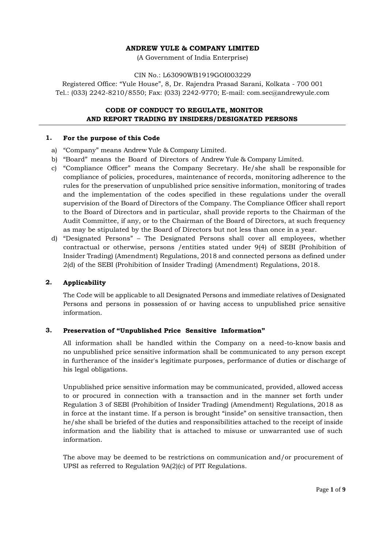# **ANDREW YULE & COMPANY LIMITED**

(A Government of India Enterprise)

CIN No.: L63090WB1919GOI003229

Registered Office: "Yule House", 8, Dr. Rajendra Prasad Sarani, Kolkata - 700 001 Tel.: (033) 2242-8210/8550; Fax: (033) 2242-9770; E-mail: [com.sec@andrewyule.com](mailto:com.sec@andrewyule.com)

# **CODE OF CONDUCT TO REGULATE, MONITOR AND REPORT TRADING BY INSIDERS/DESIGNATED PERSONS**

### **1. For the purpose of this Code**

- a) "Company" means Andrew Yule & Company Limited.
- b) "Board" means the Board of Directors of Andrew Yule & Company Limited.
- c) "Compliance Officer" means the Company Secretary. He/she shall be responsible for compliance of policies, procedures, maintenance of records, monitoring adherence to the rules for the preservation of unpublished price sensitive information, monitoring of trades and the implementation of the codes specified in these regulations under the overall supervision of the Board of Directors of the Company. The Compliance Officer shall report to the Board of Directors and in particular, shall provide reports to the Chairman of the Audit Committee, if any, or to the Chairman of the Board of Directors, at such frequency as may be stipulated by the Board of Directors but not less than once in a year.
- d) "Designated Persons" The Designated Persons shall cover all employees, whether contractual or otherwise, persons /entities stated under 9(4) of SEBI (Prohibition of Insider Trading) (Amendment) Regulations, 2018 and connected persons as defined under 2(d) of the SEBI (Prohibition of Insider Trading) (Amendment) Regulations, 2018.

# **2. Applicability**

The Code will be applicable to all Designated Persons and immediate relatives of Designated Persons and persons in possession of or having access to unpublished price sensitive information.

### **3. Preservation of "Unpublished Price Sensitive Information"**

All information shall be handled within the Company on a need-to-know basis and no unpublished price sensitive information shall be communicated to any person except in furtherance of the insider's legitimate purposes, performance of duties or discharge of his legal obligations.

Unpublished price sensitive information may be communicated, provided, allowed access to or procured in connection with a transaction and in the manner set forth under Regulation 3 of SEBI (Prohibition of Insider Trading) (Amendment) Regulations, 2018 as in force at the instant time. If a person is brought "inside" on sensitive transaction, then he/she shall be briefed of the duties and responsibilities attached to the receipt of inside information and the liability that is attached to misuse or unwarranted use of such information.

The above may be deemed to be restrictions on communication and/or procurement of UPSI as referred to Regulation 9A(2)(c) of PIT Regulations.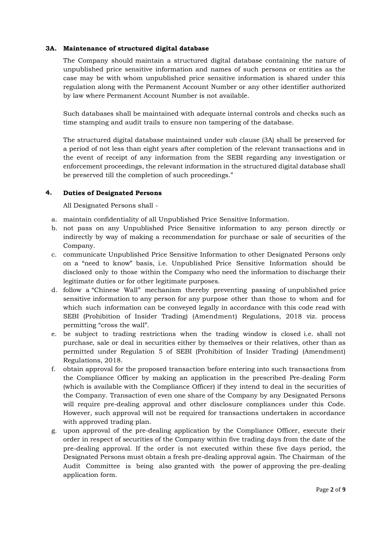# **3A. Maintenance of structured digital database**

The Company should maintain a structured digital database containing the nature of unpublished price sensitive information and names of such persons or entities as the case may be with whom unpublished price sensitive information is shared under this regulation along with the Permanent Account Number or any other identifier authorized by law where Permanent Account Number is not available.

Such databases shall be maintained with adequate internal controls and checks such as time stamping and audit trails to ensure non tampering of the database.

The structured digital database maintained under sub clause (3A) shall be preserved for a period of not less than eight years after completion of the relevant transactions and in the event of receipt of any information from the SEBI regarding any investigation or enforcement proceedings, the relevant information in the structured digital database shall be preserved till the completion of such proceedings."

# **4. Duties of Designated Persons**

All Designated Persons shall -

- a. maintain confidentiality of all Unpublished Price Sensitive Information.
- b. not pass on any Unpublished Price Sensitive information to any person directly or indirectly by way of making a recommendation for purchase or sale of securities of the Company.
- c. communicate Unpublished Price Sensitive Information to other Designated Persons only on a "need to know" basis, i.e. Unpublished Price Sensitive Information should be disclosed only to those within the Company who need the information to discharge their legitimate duties or for other legitimate purposes.
- d. follow a "Chinese Wall" mechanism thereby preventing passing of unpublished price sensitive information to any person for any purpose other than those to whom and for which such information can be conveyed legally in accordance with this code read with SEBI (Prohibition of Insider Trading) (Amendment) Regulations, 2018 viz. process permitting "cross the wall".
- e. be subject to trading restrictions when the trading window is closed i.e. shall not purchase, sale or deal in securities either by themselves or their relatives, other than as permitted under Regulation 5 of SEBI (Prohibition of Insider Trading) (Amendment) Regulations, 2018.
- f. obtain approval for the proposed transaction before entering into such transactions from the Compliance Officer by making an application in the prescribed Pre-dealing Form (which is available with the Compliance Officer) if they intend to deal in the securities of the Company. Transaction of even one share of the Company by any Designated Persons will require pre-dealing approval and other disclosure compliances under this Code. However, such approval will not be required for transactions undertaken in accordance with approved trading plan.
- g. upon approval of the pre-dealing application by the Compliance Officer, execute their order in respect of securities of the Company within five trading days from the date of the pre-dealing approval. If the order is not executed within these five days period, the Designated Persons must obtain a fresh pre-dealing approval again. The Chairman of the Audit Committee is being also granted with the power of approving the pre-dealing application form.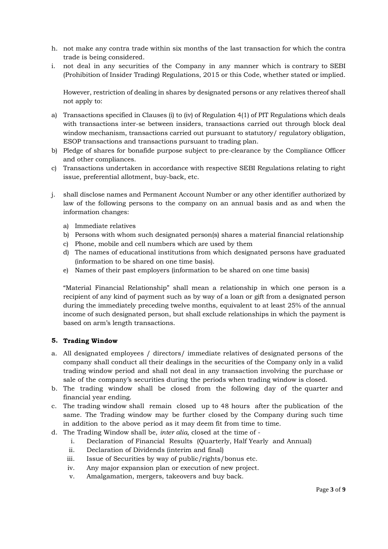- h. not make any contra trade within six months of the last transaction for which the contra trade is being considered.
- i. not deal in any securities of the Company in any manner which is contrary to SEBI (Prohibition of Insider Trading) Regulations, 2015 or this Code, whether stated or implied.

However, restriction of dealing in shares by designated persons or any relatives thereof shall not apply to:

- a) Transactions specified in Clauses (i) to (iv) of Regulation 4(1) of PIT Regulations which deals with transactions inter-se between insiders, transactions carried out through block deal window mechanism, transactions carried out pursuant to statutory/ regulatory obligation, ESOP transactions and transactions pursuant to trading plan.
- b) Pledge of shares for bonafide purpose subject to pre-clearance by the Compliance Officer and other compliances.
- c) Transactions undertaken in accordance with respective SEBI Regulations relating to right issue, preferential allotment, buy-back, etc.
- j. shall disclose names and Permanent Account Number or any other identifier authorized by law of the following persons to the company on an annual basis and as and when the information changes:
	- a) Immediate relatives
	- b) Persons with whom such designated person(s) shares a material financial relationship
	- c) Phone, mobile and cell numbers which are used by them
	- d) The names of educational institutions from which designated persons have graduated (information to be shared on one time basis).
	- e) Names of their past employers (information to be shared on one time basis)

"Material Financial Relationship" shall mean a relationship in which one person is a recipient of any kind of payment such as by way of a loan or gift from a designated person during the immediately preceding twelve months, equivalent to at least 25% of the annual income of such designated person, but shall exclude relationships in which the payment is based on arm's length transactions.

### **5. Trading Window**

- a. All designated employees / directors/ immediate relatives of designated persons of the company shall conduct all their dealings in the securities of the Company only in a valid trading window period and shall not deal in any transaction involving the purchase or sale of the company's securities during the periods when trading window is closed.
- b. The trading window shall be closed from the following day of the quarter and financial year ending.
- c. The trading window shall remain closed up to 48 hours after the publication of the same. The Trading window may be further closed by the Company during such time in addition to the above period as it may deem fit from time to time.
- d. The Trading Window shall be, *inter alia,* closed at the time of
	- i. Declaration of Financial Results (Quarterly, Half Yearly and Annual)
	- ii. Declaration of Dividends (interim and final)
	- iii. Issue of Securities by way of public/rights/bonus etc.
	- iv. Any major expansion plan or execution of new project.
	- v. Amalgamation, mergers, takeovers and buy back.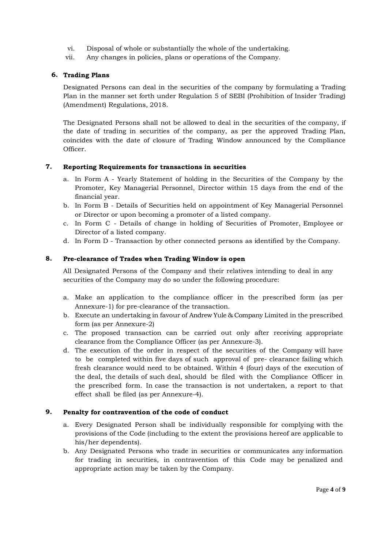- vi. Disposal of whole or substantially the whole of the undertaking.
- vii. Any changes in policies, plans or operations of the Company.

# **6. Trading Plans**

Designated Persons can deal in the securities of the company by formulating a Trading Plan in the manner set forth under Regulation 5 of SEBI (Prohibition of Insider Trading) (Amendment) Regulations, 2018.

The Designated Persons shall not be allowed to deal in the securities of the company, if the date of trading in securities of the company, as per the approved Trading Plan, coincides with the date of closure of Trading Window announced by the Compliance Officer.

### **7. Reporting Requirements for transactions in securities**

- a. In Form A Yearly Statement of holding in the Securities of the Company by the Promoter, Key Managerial Personnel, Director within 15 days from the end of the financial year.
- b. In Form B Details of Securities held on appointment of Key Managerial Personnel or Director or upon becoming a promoter of a listed company.
- c. In Form C Details of change in holding of Securities of Promoter, Employee or Director of a listed company.
- d. In Form D Transaction by other connected persons as identified by the Company.

### **8. Pre-clearance of Trades when Trading Window is open**

All Designated Persons of the Company and their relatives intending to deal in any securities of the Company may do so under the following procedure:

- a. Make an application to the compliance officer in the prescribed form (as per Annexure-1) for pre-clearance of the transaction.
- b. Execute an undertaking in favour of Andrew Yule & Company Limited in the prescribed form (as per Annexure-2)
- c. The proposed transaction can be carried out only after receiving appropriate clearance from the Compliance Officer (as per Annexure-3).
- d. The execution of the order in respect of the securities of the Company will have to be completed within five days of such approval of pre- clearance failing which fresh clearance would need to be obtained. Within 4 (four) days of the execution of the deal, the details of such deal, should be filed with the Compliance Officer in the prescribed form. In case the transaction is not undertaken, a report to that effect shall be filed (as per Annexure-4).

### **9. Penalty for contravention of the code of conduct**

- a. Every Designated Person shall be individually responsible for complying with the provisions of the Code (including to the extent the provisions hereof are applicable to his/her dependents).
- b. Any Designated Persons who trade in securities or communicates any information for trading in securities, in contravention of this Code may be penalized and appropriate action may be taken by the Company.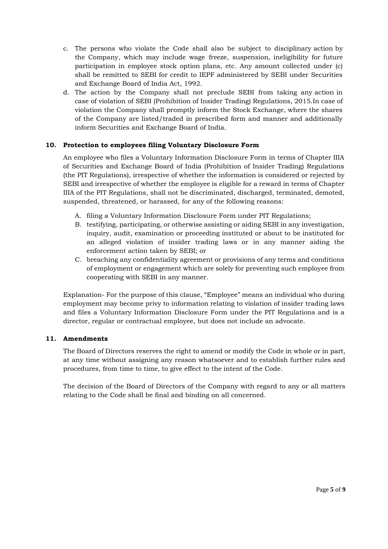- c. The persons who violate the Code shall also be subject to disciplinary action by the Company, which may include wage freeze, suspension, ineligibility for future participation in employee stock option plans, etc. Any amount collected under (c) shall be remitted to SEBI for credit to IEPF administered by SEBI under Securities and Exchange Board of India Act, 1992.
- d. The action by the Company shall not preclude SEBI from taking any action in case of violation of SEBI (Prohibition of Insider Trading) Regulations, 2015.In case of violation the Company shall promptly inform the Stock Exchange, where the shares of the Company are listed/traded in prescribed form and manner and additionally inform Securities and Exchange Board of India.

# **10. Protection to employees filing Voluntary Disclosure Form**

An employee who files a Voluntary Information Disclosure Form in terms of Chapter IIIA of Securities and Exchange Board of India (Prohibition of Insider Trading) Regulations (the PIT Regulations), irrespective of whether the information is considered or rejected by SEBI and irrespective of whether the employee is eligible for a reward in terms of Chapter IIIA of the PIT Regulations, shall not be discriminated, discharged, terminated, demoted, suspended, threatened, or harassed, for any of the following reasons:

- A. filing a Voluntary Information Disclosure Form under PIT Regulations;
- B. testifying, participating, or otherwise assisting or aiding SEBI in any investigation, inquiry, audit, examination or proceeding instituted or about to be instituted for an alleged violation of insider trading laws or in any manner aiding the enforcement action taken by SEBI; or
- C. breaching any confidentiality agreement or provisions of any terms and conditions of employment or engagement which are solely for preventing such employee from cooperating with SEBI in any manner.

Explanation- For the purpose of this clause, "Employee" means an individual who during employment may become privy to information relating to violation of insider trading laws and files a Voluntary Information Disclosure Form under the PIT Regulations and is a director, regular or contractual employee, but does not include an advocate.

### **11. Amendments**

The Board of Directors reserves the right to amend or modify the Code in whole or in part, at any time without assigning any reason whatsoever and to establish further rules and procedures, from time to time, to give effect to the intent of the Code.

The decision of the Board of Directors of the Company with regard to any or all matters relating to the Code shall be final and binding on all concerned.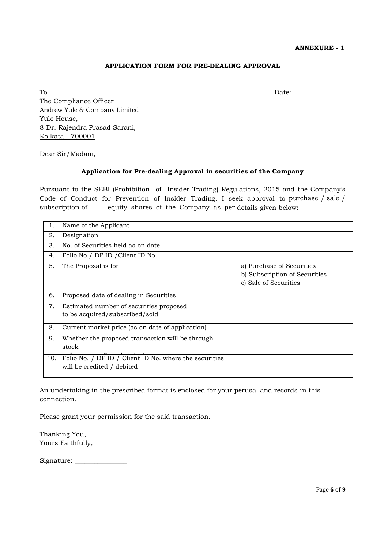### **ANNEXURE - 1**

### **APPLICATION FORM FOR PRE-DEALING APPROVAL**

To and the Date: the Date: the Date: the Date: the Date: the Date: the Date: the Date: the Date: the Date: the Date: the Date: the Date: the Date: the Date: the Date: the Date: the Date: the Date: the Date: the Date: the D The Compliance Officer Andrew Yule & Company Limited Yule House, 8 Dr. Rajendra Prasad Sarani, Kolkata - 700001

Dear Sir/Madam,

### **Application for Pre-dealing Approval in securities of the Company**

Pursuant to the SEBI (Prohibition of Insider Trading) Regulations, 2015 and the Company's Code of Conduct for Prevention of Insider Trading, I seek approval to purchase / sale / subscription of \_\_\_\_\_ equity shares of the Company as per details given below:

| 1.  | Name of the Applicant                                                                |                                                                                     |
|-----|--------------------------------------------------------------------------------------|-------------------------------------------------------------------------------------|
| 2.  | Designation                                                                          |                                                                                     |
| 3.  | No. of Securities held as on date                                                    |                                                                                     |
| 4.  | Folio No. / DP ID / Client ID No.                                                    |                                                                                     |
| 5.  | The Proposal is for                                                                  | a) Purchase of Securities<br>b) Subscription of Securities<br>c) Sale of Securities |
| 6.  | Proposed date of dealing in Securities                                               |                                                                                     |
| 7.  | Estimated number of securities proposed<br>to be acquired/subscribed/sold            |                                                                                     |
| 8.  | Current market price (as on date of application)                                     |                                                                                     |
| 9.  | Whether the proposed transaction will be through<br>stock                            |                                                                                     |
| 10. | Folio No. / DP ID / Client ID No. where the securities<br>will be credited / debited |                                                                                     |

An undertaking in the prescribed format is enclosed for your perusal and records in this connection.

Please grant your permission for the said transaction.

Thanking You, Yours Faithfully,

Signature: \_\_\_\_\_\_\_\_\_\_\_\_\_\_\_\_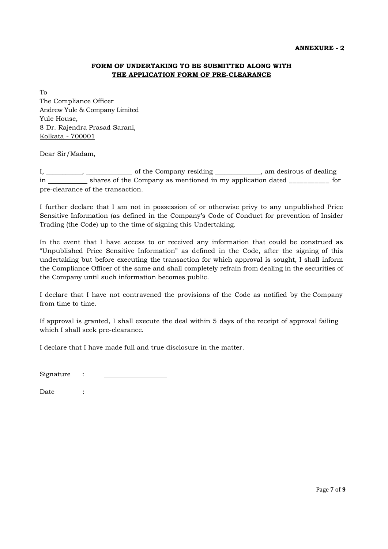# **FORM OF UNDERTAKING TO BE SUBMITTED ALONG WITH THE APPLICATION FORM OF PRE-CLEARANCE**

To The Compliance Officer Andrew Yule & Company Limited Yule House, 8 Dr. Rajendra Prasad Sarani, Kolkata - 700001

Dear Sir/Madam,

I, \_\_\_\_\_\_\_\_\_, \_\_\_\_\_\_\_\_\_\_\_\_\_\_\_\_\_\_\_\_\_\_ of the Company residing \_\_\_\_\_\_\_\_\_\_\_\_\_\_\_, am desirous of dealing in shares of the Company as mentioned in my application dated \_\_\_\_\_\_\_\_\_\_\_ for pre-clearance of the transaction.

I further declare that I am not in possession of or otherwise privy to any unpublished Price Sensitive Information (as defined in the Company's Code of Conduct for prevention of Insider Trading (the Code) up to the time of signing this Undertaking.

In the event that I have access to or received any information that could be construed as "Unpublished Price Sensitive Information" as defined in the Code, after the signing of this undertaking but before executing the transaction for which approval is sought, I shall inform the Compliance Officer of the same and shall completely refrain from dealing in the securities of the Company until such information becomes public.

I declare that I have not contravened the provisions of the Code as notified by the Company from time to time.

If approval is granted, I shall execute the deal within 5 days of the receipt of approval failing which I shall seek pre-clearance.

I declare that I have made full and true disclosure in the matter.

Date :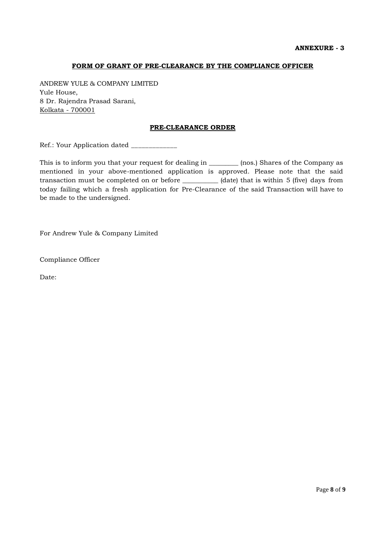### **FORM OF GRANT OF PRE-CLEARANCE BY THE COMPLIANCE OFFICER**

ANDREW YULE & COMPANY LIMITED Yule House, 8 Dr. Rajendra Prasad Sarani, Kolkata - 700001

#### **PRE-CLEARANCE ORDER**

Ref.: Your Application dated \_\_\_\_\_\_\_\_\_\_\_\_

This is to inform you that your request for dealing in  $\qquad \qquad$  (nos.) Shares of the Company as mentioned in your above-mentioned application is approved. Please note that the said transaction must be completed on or before \_\_\_\_\_\_\_\_\_\_\_ (date) that is within 5 (five) days from today failing which a fresh application for Pre-Clearance of the said Transaction will have to be made to the undersigned.

For Andrew Yule & Company Limited

Compliance Officer

Date: